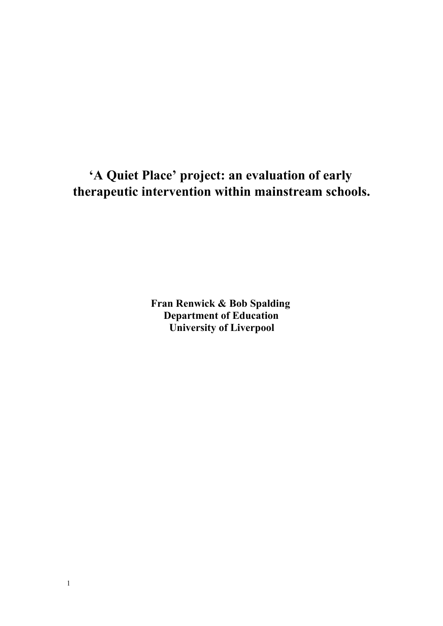# **'A Quiet Place' project: an evaluation of early therapeutic intervention within mainstream schools.**

**Fran Renwick & Bob Spalding Department of Education University of Liverpool**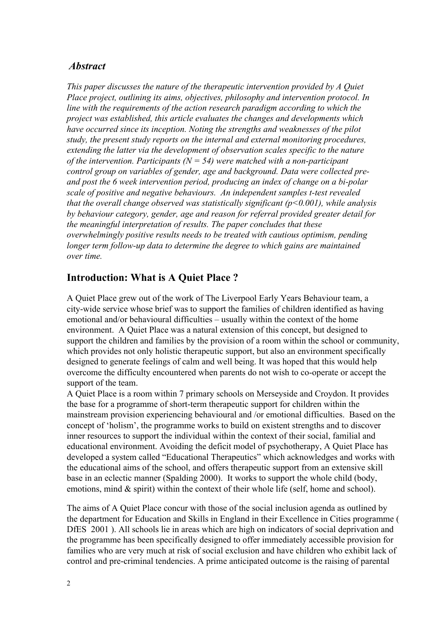### *Abstract*

*This paper discusses the nature of the therapeutic intervention provided by A Quiet Place project, outlining its aims, objectives, philosophy and intervention protocol. In line with the requirements of the action research paradigm according to which the project was established, this article evaluates the changes and developments which have occurred since its inception. Noting the strengths and weaknesses of the pilot study, the present study reports on the internal and external monitoring procedures, extending the latter via the development of observation scales specific to the nature of the intervention. Participants*  $(N = 54)$  *were matched with a non-participant control group on variables of gender, age and background. Data were collected preand post the 6 week intervention period, producing an index of change on a bipolar scale of positive and negative behaviours. An independent samples ttest revealed that the overall change observed was statistically significant (p<0.001), while analysis by behaviour category, gender, age and reason for referral provided greater detail for the meaningful interpretation of results. The paper concludes that these overwhelmingly positive results needs to be treated with cautious optimism, pending longer term followup data to determine the degree to which gains are maintained over time.*

# **Introduction: What is A Quiet Place ?**

A Quiet Place grew out of the work of The Liverpool Early Years Behaviour team, a city-wide service whose brief was to support the families of children identified as having emotional and/or behavioural difficulties – usually within the context of the home environment. A Quiet Place was a natural extension of this concept, but designed to support the children and families by the provision of a room within the school or community, which provides not only holistic therapeutic support, but also an environment specifically designed to generate feelings of calm and well being. It was hoped that this would help overcome the difficulty encountered when parents do not wish to co-operate or accept the support of the team.

A Quiet Place is a room within 7 primary schools on Merseyside and Croydon. It provides the base for a programme of short-term therapeutic support for children within the mainstream provision experiencing behavioural and /or emotional difficulties. Based on the concept of 'holism', the programme works to build on existent strengths and to discover inner resources to support the individual within the context of their social, familial and educational environment. Avoiding the deficit model of psychotherapy, A Quiet Place has developed a system called "Educational Therapeutics" which acknowledges and works with the educational aims of the school, and offers therapeutic support from an extensive skill base in an eclectic manner (Spalding 2000). It works to support the whole child (body, emotions, mind & spirit) within the context of their whole life (self, home and school).

The aims of A Quiet Place concur with those of the social inclusion agenda as outlined by the department for Education and Skills in England in their Excellence in Cities programme ( DfES 2001 ). All schools lie in areas which are high on indicators of social deprivation and the programme has been specifically designed to offer immediately accessible provision for families who are very much at risk of social exclusion and have children who exhibit lack of control and precriminal tendencies. A prime anticipated outcome is the raising of parental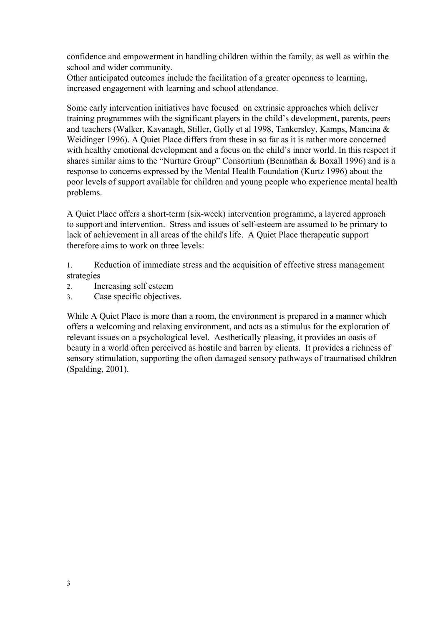confidence and empowerment in handling children within the family, as well as within the school and wider community.

Other anticipated outcomes include the facilitation of a greater openness to learning, increased engagement with learning and school attendance.

Some early intervention initiatives have focused on extrinsic approaches which deliver training programmes with the significant players in the child's development, parents, peers and teachers (Walker, Kavanagh, Stiller, Golly et al 1998, Tankersley, Kamps, Mancina & Weidinger 1996). A Quiet Place differs from these in so far as it is rather more concerned with healthy emotional development and a focus on the child's inner world. In this respect it shares similar aims to the "Nurture Group" Consortium (Bennathan & Boxall 1996) and is a response to concerns expressed by the Mental Health Foundation (Kurtz 1996) about the poor levels of support available for children and young people who experience mental health problems.

A Quiet Place offers a short-term (six-week) intervention programme, a layered approach to support and intervention. Stress and issues of self-esteem are assumed to be primary to lack of achievement in all areas of the child's life. A Quiet Place therapeutic support therefore aims to work on three levels:

1. Reduction of immediate stress and the acquisition of effective stress management strategies

- 2. Increasing self esteem
- 3. Case specific objectives.

While A Quiet Place is more than a room, the environment is prepared in a manner which offers a welcoming and relaxing environment, and acts as a stimulus for the exploration of relevant issues on a psychological level. Aesthetically pleasing, it provides an oasis of beauty in a world often perceived as hostile and barren by clients. It provides a richness of sensory stimulation, supporting the often damaged sensory pathways of traumatised children (Spalding, 2001).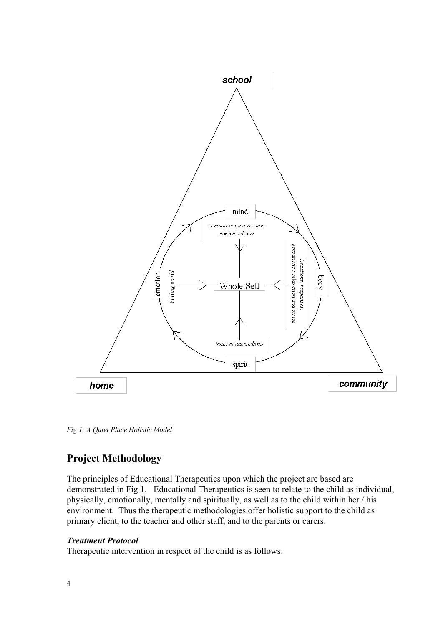

*Fig 1: A Quiet Place Holistic Model*

# **Project Methodology**

The principles of Educational Therapeutics upon which the project are based are demonstrated in Fig 1. Educational Therapeutics is seen to relate to the child as individual, physically, emotionally, mentally and spiritually, as well as to the child within her / his environment. Thus the therapeutic methodologies offer holistic support to the child as primary client, to the teacher and other staff, and to the parents or carers.

#### *Treatment Protocol*

Therapeutic intervention in respect of the child is as follows: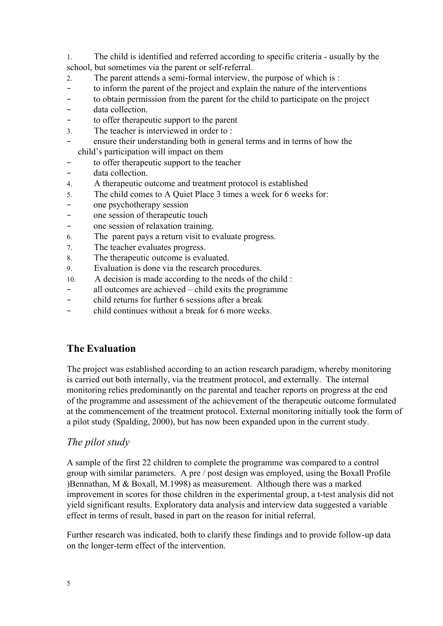1. The child is identified and referred according to specific criteria usually by the school, but sometimes via the parent or self-referral.

- 2. The parent attends a semi-formal interview, the purpose of which is :
- − to inform the parent of the project and explain the nature of the interventions
- − to obtain permission from the parent for the child to participate on the project
- − data collection.
- − to offer therapeutic support to the parent
- 3. The teacher is interviewed in order to :
- ensure their understanding both in general terms and in terms of how the child's participation will impact on them
- to offer therapeutic support to the teacher
- − data collection.
- 4. A therapeutic outcome and treatment protocol is established
- 5. The child comes to A Quiet Place 3 times a week for 6 weeks for:
- − one psychotherapy session
- − one session of therapeutic touch
- − one session of relaxation training.
- 6. The parent pays a return visit to evaluate progress.
- 7. The teacher evaluates progress.
- 8. The therapeutic outcome is evaluated.
- 9. Evaluation is done via the research procedures.
- 10. A decision is made according to the needs of the child :
- − all outcomes are achieved child exits the programme
- − child returns for further 6 sessions after a break
- − child continues without a break for 6 more weeks.

# **The Evaluation**

The project was established according to an action research paradigm, whereby monitoring is carried out both internally, via the treatment protocol, and externally. The internal monitoring relies predominantly on the parental and teacher reports on progress at the end of the programme and assessment of the achievement of the therapeutic outcome formulated at the commencement of the treatment protocol. External monitoring initially took the form of a pilot study (Spalding, 2000), but has now been expanded upon in the current study.

# *The pilot study*

A sample of the first 22 children to complete the programme was compared to a control group with similar parameters. A pre / post design was employed, using the Boxall Profile )Bennathan, M & Boxall, M.1998) as measurement. Although there was a marked improvement in scores for those children in the experimental group, a t-test analysis did not yield significant results. Exploratory data analysis and interview data suggested a variable effect in terms of result, based in part on the reason for initial referral.

Further research was indicated, both to clarify these findings and to provide follow-up data on the longer-term effect of the intervention.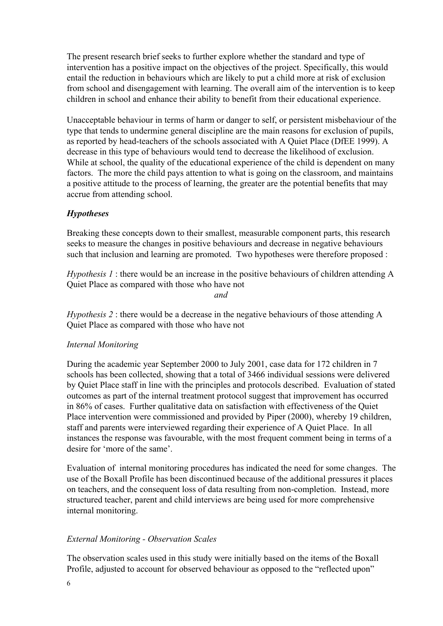The present research brief seeks to further explore whether the standard and type of intervention has a positive impact on the objectives of the project. Specifically, this would entail the reduction in behaviours which are likely to put a child more at risk of exclusion from school and disengagement with learning. The overall aim of the intervention is to keep children in school and enhance their ability to benefit from their educational experience.

Unacceptable behaviour in terms of harm or danger to self, or persistent misbehaviour of the type that tends to undermine general discipline are the main reasons for exclusion of pupils, as reported by head-teachers of the schools associated with A Quiet Place (DfEE 1999). A decrease in this type of behaviours would tend to decrease the likelihood of exclusion. While at school, the quality of the educational experience of the child is dependent on many factors. The more the child pays attention to what is going on the classroom, and maintains a positive attitude to the process of learning, the greater are the potential benefits that may accrue from attending school.

#### *Hypotheses*

Breaking these concepts down to their smallest, measurable component parts, this research seeks to measure the changes in positive behaviours and decrease in negative behaviours such that inclusion and learning are promoted. Two hypotheses were therefore proposed :

*Hypothesis 1* : there would be an increase in the positive behaviours of children attending A Quiet Place as compared with those who have not

*and*

*Hypothesis 2* : there would be a decrease in the negative behaviours of those attending A Quiet Place as compared with those who have not

#### *Internal Monitoring*

During the academic year September 2000 to July 2001, case data for 172 children in 7 schools has been collected, showing that a total of 3466 individual sessions were delivered by Quiet Place staff in line with the principles and protocols described. Evaluation of stated outcomes as part of the internal treatment protocol suggest that improvement has occurred in 86% of cases. Further qualitative data on satisfaction with effectiveness of the Quiet Place intervention were commissioned and provided by Piper (2000), whereby 19 children, staff and parents were interviewed regarding their experience of A Quiet Place. In all instances the response was favourable, with the most frequent comment being in terms of a desire for 'more of the same'.

Evaluation of internal monitoring procedures has indicated the need for some changes. The use of the Boxall Profile has been discontinued because of the additional pressures it places on teachers, and the consequent loss of data resulting from non-completion. Instead, more structured teacher, parent and child interviews are being used for more comprehensive internal monitoring.

#### *External Monitoring Observation Scales*

The observation scales used in this study were initially based on the items of the Boxall Profile, adjusted to account for observed behaviour as opposed to the "reflected upon"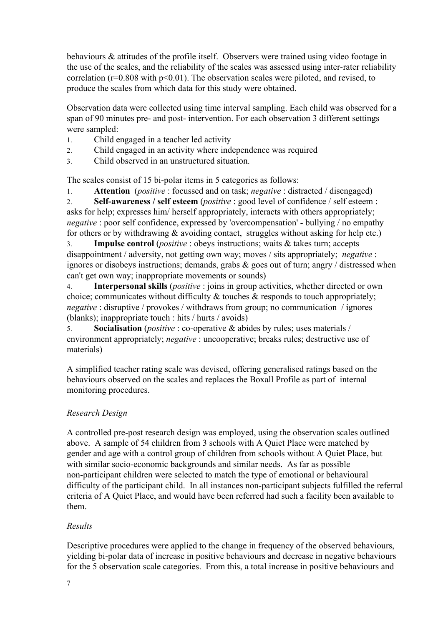behaviours & attitudes of the profile itself. Observers were trained using video footage in the use of the scales, and the reliability of the scales was assessed using inter-rater reliability correlation ( $r=0.808$  with  $p<0.01$ ). The observation scales were piloted, and revised, to produce the scales from which data for this study were obtained.

Observation data were collected using time interval sampling. Each child was observed for a span of 90 minutes pre- and post- intervention. For each observation 3 different settings were sampled:

- 1. Child engaged in a teacher led activity
- 2. Child engaged in an activity where independence was required
- 3. Child observed in an unstructured situation.

The scales consist of 15 bi-polar items in 5 categories as follows:

1. **Attention** (*positive* : focussed and on task; *negative* : distracted / disengaged)

2. **Selfawareness / self esteem** (*positive* : good level of confidence / self esteem : asks for help; expresses him/ herself appropriately, interacts with others appropriately; *negative*: poor self confidence, expressed by 'overcompensation' - bullying / no empathy for others or by withdrawing  $&$  avoiding contact, struggles without asking for help etc.)

3. **Impulse control** (*positive* : obeys instructions; waits & takes turn; accepts disappointment / adversity, not getting own way; moves / sits appropriately; *negative* : ignores or disobeys instructions; demands, grabs & goes out of turn; angry / distressed when can't get own way; inappropriate movements or sounds)

4. **Interpersonal skills** (*positive* : joins in group activities, whether directed or own choice; communicates without difficulty & touches & responds to touch appropriately; *negative* : disruptive / provokes / withdraws from group; no communication / ignores (blanks); inappropriate touch : hits / hurts / avoids)

5. **Socialisation** (*positive* : co-operative & abides by rules; uses materials / environment appropriately; *negative* : uncooperative; breaks rules; destructive use of materials)

A simplified teacher rating scale was devised, offering generalised ratings based on the behaviours observed on the scales and replaces the Boxall Profile as part of internal monitoring procedures.

# *Research Design*

A controlled pre-post research design was employed, using the observation scales outlined above. A sample of 54 children from 3 schools with A Quiet Place were matched by gender and age with a control group of children from schools without A Quiet Place, but with similar socio-economic backgrounds and similar needs. As far as possible non-participant children were selected to match the type of emotional or behavioural difficulty of the participant child. In all instances non-participant subjects fulfilled the referral criteria of A Quiet Place, and would have been referred had such a facility been available to them.

# *Results*

Descriptive procedures were applied to the change in frequency of the observed behaviours, yielding bi-polar data of increase in positive behaviours and decrease in negative behaviours for the 5 observation scale categories. From this, a total increase in positive behaviours and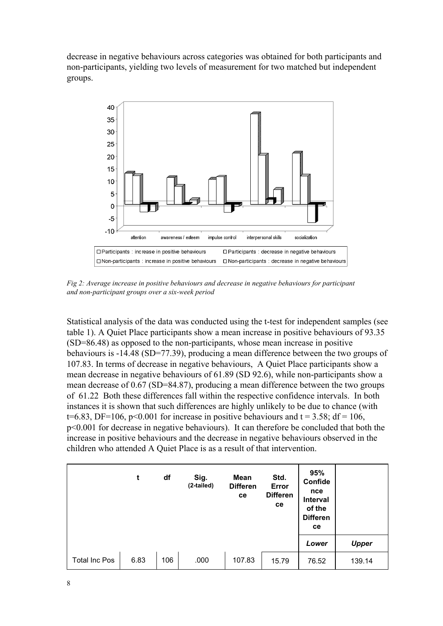decrease in negative behaviours across categories was obtained for both participants and non-participants, yielding two levels of measurement for two matched but independent groups.



*Fig 2: Average increase in positive behaviours and decrease in negative behaviours for participant and nonparticipant groups over a sixweek period*

Statistical analysis of the data was conducted using the t-test for independent samples (see table 1). A Quiet Place participants show a mean increase in positive behaviours of 93.35  $(SD=86.48)$  as opposed to the non-participants, whose mean increase in positive behaviours is 14.48 (SD=77.39), producing a mean difference between the two groups of 107.83. In terms of decrease in negative behaviours, A Quiet Place participants show a mean decrease in negative behaviours of  $61.89$  (SD  $92.6$ ), while non-participants show a mean decrease of 0.67 (SD=84.87), producing a mean difference between the two groups of 61.22 Both these differences fall within the respective confidence intervals. In both instances it is shown that such differences are highly unlikely to be due to chance (with  $t=6.83$ , DF=106, p<0.001 for increase in positive behaviours and t = 3.58; df = 106, p<0.001 for decrease in negative behaviours). It can therefore be concluded that both the increase in positive behaviours and the decrease in negative behaviours observed in the children who attended A Quiet Place is as a result of that intervention.

|                      | t    | df  | Sig.<br>(2-tailed) | Mean<br><b>Differen</b><br>ce | Std.<br>Error<br><b>Differen</b><br>ce | 95%<br>Confide<br>nce<br>Interval<br>of the<br><b>Differen</b><br>ce |              |
|----------------------|------|-----|--------------------|-------------------------------|----------------------------------------|----------------------------------------------------------------------|--------------|
|                      |      |     |                    |                               |                                        | Lower                                                                | <b>Upper</b> |
| <b>Total Inc Pos</b> | 6.83 | 106 | .000               | 107.83                        | 15.79                                  | 76.52                                                                | 139.14       |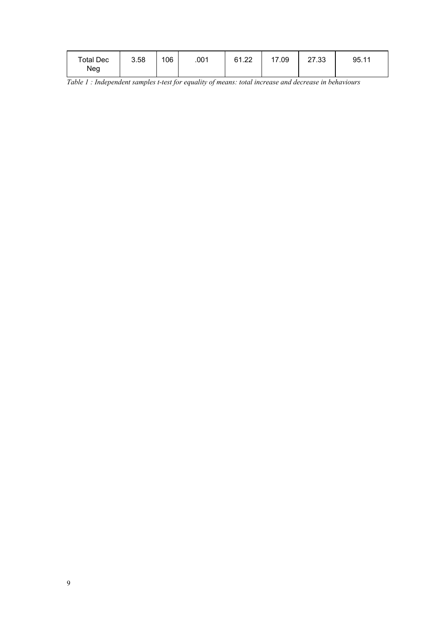| Total Dec | 3.58 | 106 | .001 | 61.22 | 17.09 | 27.33 | 95.11 |
|-----------|------|-----|------|-------|-------|-------|-------|
| Neg       |      |     |      |       |       |       |       |

*Table 1 : Independent samples ttest for equality of means: total increase and decrease in behaviours*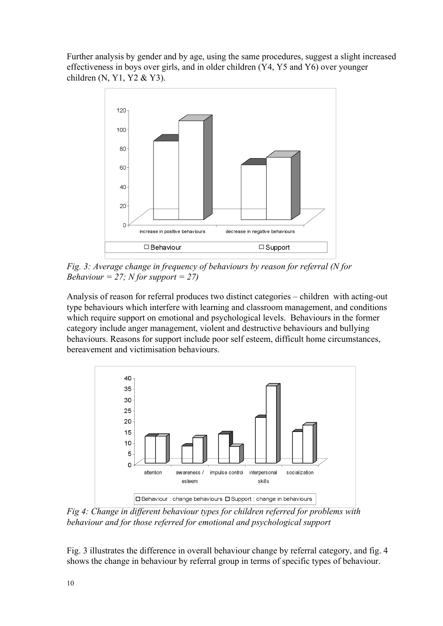Further analysis by gender and by age, using the same procedures, suggest a slight increased effectiveness in boys over girls, and in older children (Y4, Y5 and Y6) over younger children (N, Y1, Y2 & Y3).



*Fig. 3: Average change in frequency of behaviours by reason for referral (N for Behaviour*  $= 27$ ; *N for support*  $= 27$ 

Analysis of reason for referral produces two distinct categories – children with acting-out type behaviours which interfere with learning and classroom management, and conditions which require support on emotional and psychological levels. Behaviours in the former category include anger management, violent and destructive behaviours and bullying behaviours. Reasons for support include poor self esteem, difficult home circumstances, bereavement and victimisation behaviours.



*Fig 4: Change in dif erent behaviour types for children referred for problems with behaviour and for those referred for emotional and psychological support*

Fig. 3 illustrates the difference in overall behaviour change by referral category, and fig. 4 shows the change in behaviour by referral group in terms of specific types of behaviour.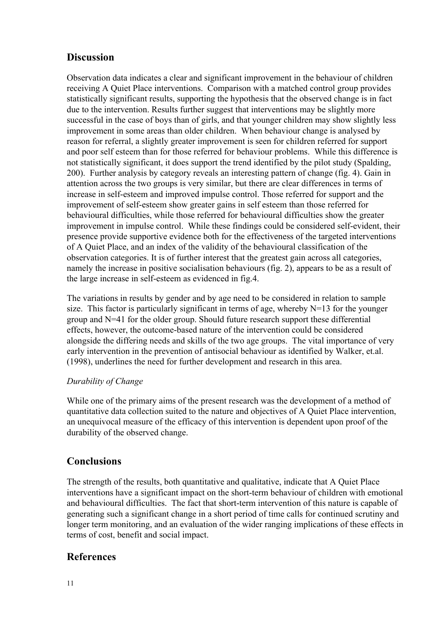# **Discussion**

Observation data indicates a clear and significant improvement in the behaviour of children receiving A Quiet Place interventions. Comparison with a matched control group provides statistically significant results, supporting the hypothesis that the observed change is in fact due to the intervention. Results further suggest that interventions may be slightly more successful in the case of boys than of girls, and that younger children may show slightly less improvement in some areas than older children. When behaviour change is analysed by reason for referral, a slightly greater improvement is seen for children referred for support and poor self esteem than for those referred for behaviour problems. While this difference is not statistically significant, it does support the trend identified by the pilot study (Spalding, 200). Further analysis by category reveals an interesting pattern of change (fig. 4). Gain in attention across the two groups is very similar, but there are clear differences in terms of increase in self-esteem and improved impulse control. Those referred for support and the improvement of self-esteem show greater gains in self esteem than those referred for behavioural difficulties, while those referred for behavioural difficulties show the greater improvement in impulse control. While these findings could be considered self-evident, their presence provide supportive evidence both for the effectiveness of the targeted interventions of A Quiet Place, and an index of the validity of the behavioural classification of the observation categories. It is of further interest that the greatest gain across all categories, namely the increase in positive socialisation behaviours (fig. 2), appears to be as a result of the large increase in self-esteem as evidenced in fig.4.

The variations in results by gender and by age need to be considered in relation to sample size. This factor is particularly significant in terms of age, whereby N=13 for the younger group and N=41 for the older group. Should future research support these differential effects, however, the outcome-based nature of the intervention could be considered alongside the differing needs and skills of the two age groups. The vital importance of very early intervention in the prevention of antisocial behaviour as identified by Walker, et.al. (1998), underlines the need for further development and research in this area.

# *Durability of Change*

While one of the primary aims of the present research was the development of a method of quantitative data collection suited to the nature and objectives of A Quiet Place intervention, an unequivocal measure of the efficacy of this intervention is dependent upon proof of the durability of the observed change.

# **Conclusions**

The strength of the results, both quantitative and qualitative, indicate that A Quiet Place interventions have a significant impact on the short-term behaviour of children with emotional and behavioural difficulties. The fact that short-term intervention of this nature is capable of generating such a significant change in a short period of time calls for continued scrutiny and longer term monitoring, and an evaluation of the wider ranging implications of these effects in terms of cost, benefit and social impact.

# **References**